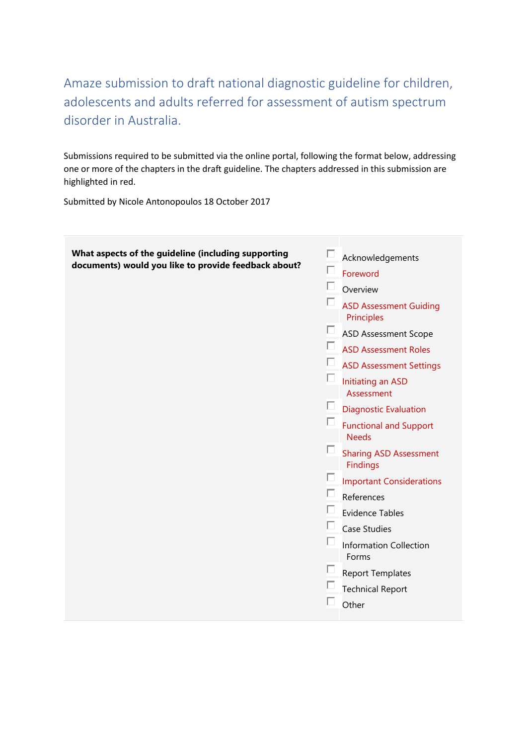Amaze submission to draft national diagnostic guideline for children, adolescents and adults referred for assessment of autism spectrum disorder in Australia.

Submissions required to be submitted via the online portal, following the format below, addressing one or more of the chapters in the draft guideline. The chapters addressed in this submission are highlighted in red.

Submitted by Nicole Antonopoulos 18 October 2017

| What aspects of the guideline (including supporting<br>documents) would you like to provide feedback about? | Acknowledgements<br>Foreword<br>Overview<br><b>ASD Assessment Guiding</b><br>Principles<br><b>ASD Assessment Scope</b><br><b>ASD Assessment Roles</b><br><b>ASD Assessment Settings</b><br>Initiating an ASD<br>Assessment<br><b>Diagnostic Evaluation</b><br><b>Functional and Support</b><br><b>Needs</b><br><b>Sharing ASD Assessment</b><br><b>Findings</b><br><b>Important Considerations</b><br>References<br><b>Evidence Tables</b><br><b>Case Studies</b><br><b>Information Collection</b><br>Forms<br><b>Report Templates</b><br><b>Technical Report</b><br>Other |
|-------------------------------------------------------------------------------------------------------------|----------------------------------------------------------------------------------------------------------------------------------------------------------------------------------------------------------------------------------------------------------------------------------------------------------------------------------------------------------------------------------------------------------------------------------------------------------------------------------------------------------------------------------------------------------------------------|
|                                                                                                             |                                                                                                                                                                                                                                                                                                                                                                                                                                                                                                                                                                            |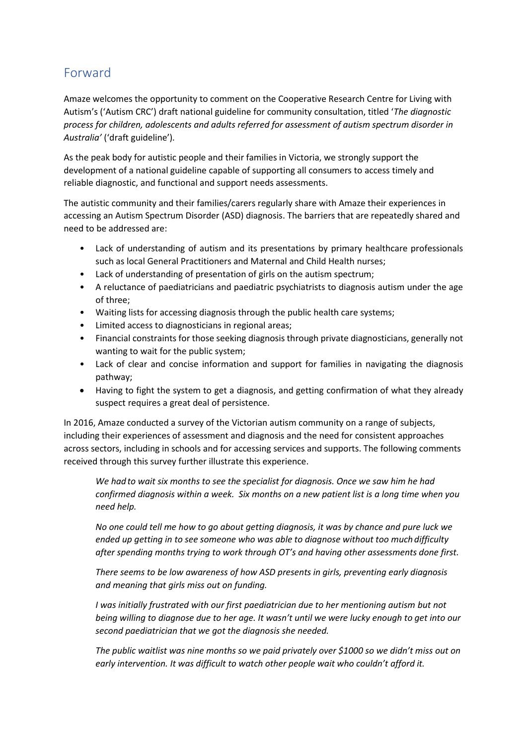## Forward

Amaze welcomes the opportunity to comment on the Cooperative Research Centre for Living with Autism's ('Autism CRC') draft national guideline for community consultation, titled '*The diagnostic process for children, adolescents and adults referred for assessment of autism spectrum disorder in Australia'* ('draft guideline')*.* 

As the peak body for autistic people and their families in Victoria, we strongly support the development of a national guideline capable of supporting all consumers to access timely and reliable diagnostic, and functional and support needs assessments.

The autistic community and their families/carers regularly share with Amaze their experiences in accessing an Autism Spectrum Disorder (ASD) diagnosis. The barriers that are repeatedly shared and need to be addressed are:

- Lack of understanding of autism and its presentations by primary healthcare professionals such as local General Practitioners and Maternal and Child Health nurses;
- Lack of understanding of presentation of girls on the autism spectrum;
- A reluctance of paediatricians and paediatric psychiatrists to diagnosis autism under the age of three;
- Waiting lists for accessing diagnosis through the public health care systems;
- Limited access to diagnosticians in regional areas;
- Financial constraints for those seeking diagnosis through private diagnosticians, generally not wanting to wait for the public system;
- Lack of clear and concise information and support for families in navigating the diagnosis pathway;
- Having to fight the system to get a diagnosis, and getting confirmation of what they already suspect requires a great deal of persistence.

In 2016, Amaze conducted a survey of the Victorian autism community on a range of subjects, including their experiences of assessment and diagnosis and the need for consistent approaches across sectors, including in schools and for accessing services and supports. The following comments received through this survey further illustrate this experience.

*We hadto wait six months to see the specialist for diagnosis. Once we saw him he had confirmed diagnosis within a week. Six months on a new patient list is a long time when you need help.*

*No one could tell me how to go about getting diagnosis, it was by chance and pure luck we ended up getting in to see someone who was able to diagnose without too much difficulty after spending months trying to work through OT's and having other assessments done first.*

*There seems to be low awareness of how ASD presents in girls, preventing early diagnosis and meaning that girls miss out on funding.*

*I was initially frustrated with our first paediatrician due to her mentioning autism but not being willing to diagnose due to her age. It wasn't until we were lucky enough to get into our second paediatrician that we got the diagnosis she needed.*

*The public waitlist was nine months so we paid privately over \$1000 so we didn't miss out on early intervention. It was difficult to watch other people wait who couldn't afford it.*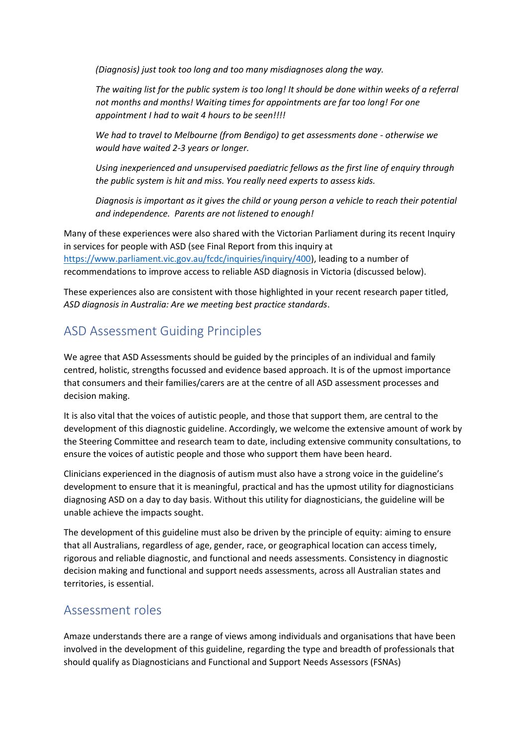*(Diagnosis) just took too long and too many misdiagnoses along the way.*

*The waiting list for the public system is too long! It should be done within weeks of a referral not months and months! Waiting times for appointments are far too long! For one appointment I had to wait 4 hours to be seen!!!!*

*We had to travel to Melbourne (from Bendigo) to get assessments done - otherwise we would have waited 2-3 years or longer.*

*Using inexperienced and unsupervised paediatric fellows as the first line of enquiry through the public system is hit and miss. You really need experts to assess kids.*

*Diagnosis is important as it gives the child or young person a vehicle to reach their potential and independence. Parents are not listened to enough!*

Many of these experiences were also shared with the Victorian Parliament during its recent Inquiry in services for people with ASD (see Final Report from this inquiry at [https://www.parliament.vic.gov.au/fcdc/inquiries/inquiry/400\)](https://www.parliament.vic.gov.au/fcdc/inquiries/inquiry/400), leading to a number of recommendations to improve access to reliable ASD diagnosis in Victoria (discussed below).

These experiences also are consistent with those highlighted in your recent research paper titled, *ASD diagnosis in Australia: Are we meeting best practice standards*.

## ASD Assessment Guiding Principles

We agree that ASD Assessments should be guided by the principles of an individual and family centred, holistic, strengths focussed and evidence based approach. It is of the upmost importance that consumers and their families/carers are at the centre of all ASD assessment processes and decision making.

It is also vital that the voices of autistic people, and those that support them, are central to the development of this diagnostic guideline. Accordingly, we welcome the extensive amount of work by the Steering Committee and research team to date, including extensive community consultations, to ensure the voices of autistic people and those who support them have been heard.

Clinicians experienced in the diagnosis of autism must also have a strong voice in the guideline's development to ensure that it is meaningful, practical and has the upmost utility for diagnosticians diagnosing ASD on a day to day basis. Without this utility for diagnosticians, the guideline will be unable achieve the impacts sought.

The development of this guideline must also be driven by the principle of equity: aiming to ensure that all Australians, regardless of age, gender, race, or geographical location can access timely, rigorous and reliable diagnostic, and functional and needs assessments. Consistency in diagnostic decision making and functional and support needs assessments, across all Australian states and territories, is essential.

### Assessment roles

Amaze understands there are a range of views among individuals and organisations that have been involved in the development of this guideline, regarding the type and breadth of professionals that should qualify as Diagnosticians and Functional and Support Needs Assessors (FSNAs)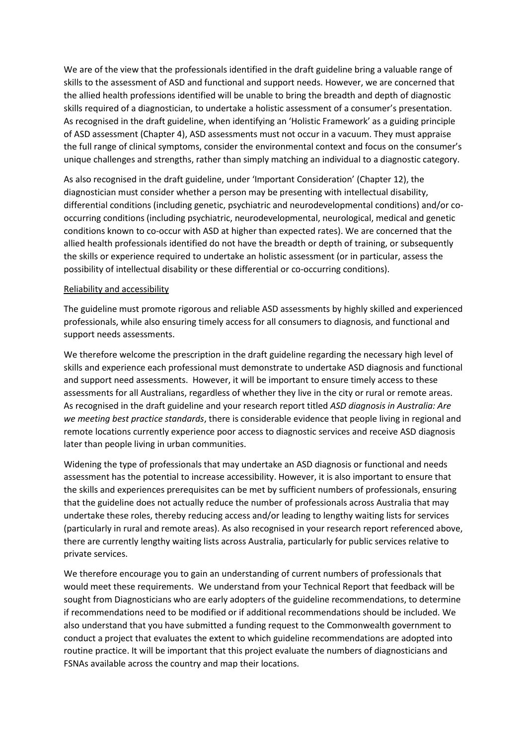We are of the view that the professionals identified in the draft guideline bring a valuable range of skills to the assessment of ASD and functional and support needs. However, we are concerned that the allied health professions identified will be unable to bring the breadth and depth of diagnostic skills required of a diagnostician, to undertake a holistic assessment of a consumer's presentation. As recognised in the draft guideline, when identifying an 'Holistic Framework' as a guiding principle of ASD assessment (Chapter 4), ASD assessments must not occur in a vacuum. They must appraise the full range of clinical symptoms, consider the environmental context and focus on the consumer's unique challenges and strengths, rather than simply matching an individual to a diagnostic category.

As also recognised in the draft guideline, under 'Important Consideration' (Chapter 12), the diagnostician must consider whether a person may be presenting with intellectual disability, differential conditions (including genetic, psychiatric and neurodevelopmental conditions) and/or cooccurring conditions (including psychiatric, neurodevelopmental, neurological, medical and genetic conditions known to co-occur with ASD at higher than expected rates). We are concerned that the allied health professionals identified do not have the breadth or depth of training, or subsequently the skills or experience required to undertake an holistic assessment (or in particular, assess the possibility of intellectual disability or these differential or co-occurring conditions).

#### Reliability and accessibility

The guideline must promote rigorous and reliable ASD assessments by highly skilled and experienced professionals, while also ensuring timely access for all consumers to diagnosis, and functional and support needs assessments.

We therefore welcome the prescription in the draft guideline regarding the necessary high level of skills and experience each professional must demonstrate to undertake ASD diagnosis and functional and support need assessments. However, it will be important to ensure timely access to these assessments for all Australians, regardless of whether they live in the city or rural or remote areas. As recognised in the draft guideline and your research report titled *ASD diagnosis in Australia: Are we meeting best practice standards*, there is considerable evidence that people living in regional and remote locations currently experience poor access to diagnostic services and receive ASD diagnosis later than people living in urban communities.

Widening the type of professionals that may undertake an ASD diagnosis or functional and needs assessment has the potential to increase accessibility. However, it is also important to ensure that the skills and experiences prerequisites can be met by sufficient numbers of professionals, ensuring that the guideline does not actually reduce the number of professionals across Australia that may undertake these roles, thereby reducing access and/or leading to lengthy waiting lists for services (particularly in rural and remote areas). As also recognised in your research report referenced above, there are currently lengthy waiting lists across Australia, particularly for public services relative to private services.

We therefore encourage you to gain an understanding of current numbers of professionals that would meet these requirements. We understand from your Technical Report that feedback will be sought from Diagnosticians who are early adopters of the guideline recommendations, to determine if recommendations need to be modified or if additional recommendations should be included. We also understand that you have submitted a funding request to the Commonwealth government to conduct a project that evaluates the extent to which guideline recommendations are adopted into routine practice. It will be important that this project evaluate the numbers of diagnosticians and FSNAs available across the country and map their locations.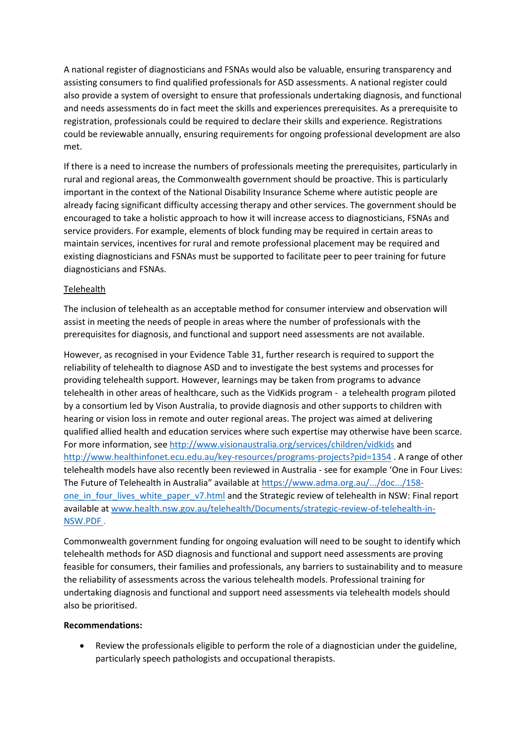A national register of diagnosticians and FSNAs would also be valuable, ensuring transparency and assisting consumers to find qualified professionals for ASD assessments. A national register could also provide a system of oversight to ensure that professionals undertaking diagnosis, and functional and needs assessments do in fact meet the skills and experiences prerequisites. As a prerequisite to registration, professionals could be required to declare their skills and experience. Registrations could be reviewable annually, ensuring requirements for ongoing professional development are also met.

If there is a need to increase the numbers of professionals meeting the prerequisites, particularly in rural and regional areas, the Commonwealth government should be proactive. This is particularly important in the context of the National Disability Insurance Scheme where autistic people are already facing significant difficulty accessing therapy and other services. The government should be encouraged to take a holistic approach to how it will increase access to diagnosticians, FSNAs and service providers. For example, elements of block funding may be required in certain areas to maintain services, incentives for rural and remote professional placement may be required and existing diagnosticians and FSNAs must be supported to facilitate peer to peer training for future diagnosticians and FSNAs.

#### Telehealth

The inclusion of telehealth as an acceptable method for consumer interview and observation will assist in meeting the needs of people in areas where the number of professionals with the prerequisites for diagnosis, and functional and support need assessments are not available.

However, as recognised in your Evidence Table 31, further research is required to support the reliability of telehealth to diagnose ASD and to investigate the best systems and processes for providing telehealth support. However, learnings may be taken from programs to advance telehealth in other areas of healthcare, such as the VidKids program - a telehealth program piloted by a consortium led by Vison Australia, to provide diagnosis and other supports to children with hearing or vision loss in remote and outer regional areas. The project was aimed at delivering qualified allied health and education services where such expertise may otherwise have been scarce. For more information, se[e http://www.visionaustralia.org/services/children/vidkids](http://www.visionaustralia.org/services/children/vidkids) and <http://www.healthinfonet.ecu.edu.au/key-resources/programs-projects?pid=1354> . A range of other telehealth models have also recently been reviewed in Australia - see for example 'One in Four Lives: The Future of Telehealth in Australia" available at [https://www.adma.org.au/.../doc.../158](https://www.adma.org.au/.../doc.../158-one_in_four_lives_white_paper_v7.html) one in four lives white paper v7.html and the Strategic review of telehealth in NSW: Final report available a[t www.health.nsw.gov.au/telehealth/Documents/strategic-review-of-telehealth-in-](http://www.health.nsw.gov.au/telehealth/Documents/strategic-review-of-telehealth-in-NSW.PDF)[NSW.PDF](http://www.health.nsw.gov.au/telehealth/Documents/strategic-review-of-telehealth-in-NSW.PDF) .

Commonwealth government funding for ongoing evaluation will need to be sought to identify which telehealth methods for ASD diagnosis and functional and support need assessments are proving feasible for consumers, their families and professionals, any barriers to sustainability and to measure the reliability of assessments across the various telehealth models. Professional training for undertaking diagnosis and functional and support need assessments via telehealth models should also be prioritised.

#### **Recommendations:**

• Review the professionals eligible to perform the role of a diagnostician under the guideline, particularly speech pathologists and occupational therapists.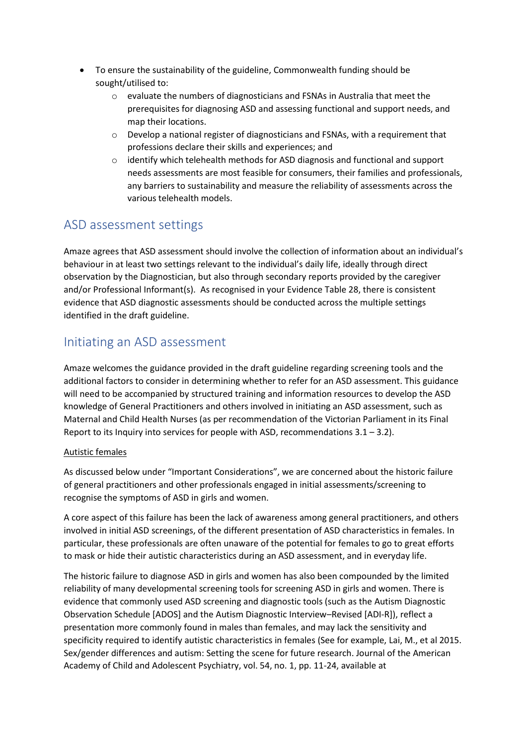- To ensure the sustainability of the guideline, Commonwealth funding should be sought/utilised to:
	- $\circ$  evaluate the numbers of diagnosticians and FSNAs in Australia that meet the prerequisites for diagnosing ASD and assessing functional and support needs, and map their locations.
	- $\circ$  Develop a national register of diagnosticians and FSNAs, with a requirement that professions declare their skills and experiences; and
	- o identify which telehealth methods for ASD diagnosis and functional and support needs assessments are most feasible for consumers, their families and professionals, any barriers to sustainability and measure the reliability of assessments across the various telehealth models.

### ASD assessment settings

Amaze agrees that ASD assessment should involve the collection of information about an individual's behaviour in at least two settings relevant to the individual's daily life, ideally through direct observation by the Diagnostician, but also through secondary reports provided by the caregiver and/or Professional Informant(s). As recognised in your Evidence Table 28, there is consistent evidence that ASD diagnostic assessments should be conducted across the multiple settings identified in the draft guideline.

## Initiating an ASD assessment

Amaze welcomes the guidance provided in the draft guideline regarding screening tools and the additional factors to consider in determining whether to refer for an ASD assessment. This guidance will need to be accompanied by structured training and information resources to develop the ASD knowledge of General Practitioners and others involved in initiating an ASD assessment, such as Maternal and Child Health Nurses (as per recommendation of the Victorian Parliament in its Final Report to its Inquiry into services for people with ASD, recommendations  $3.1 - 3.2$ ).

### Autistic females

As discussed below under "Important Considerations", we are concerned about the historic failure of general practitioners and other professionals engaged in initial assessments/screening to recognise the symptoms of ASD in girls and women.

A core aspect of this failure has been the lack of awareness among general practitioners, and others involved in initial ASD screenings, of the different presentation of ASD characteristics in females. In particular, these professionals are often unaware of the potential for females to go to great efforts to mask or hide their autistic characteristics during an ASD assessment, and in everyday life.

The historic failure to diagnose ASD in girls and women has also been compounded by the limited reliability of many developmental screening tools for screening ASD in girls and women. There is evidence that commonly used ASD screening and diagnostic tools (such as the Autism Diagnostic Observation Schedule [ADOS] and the Autism Diagnostic Interview–Revised [ADI-R]), reflect a presentation more commonly found in males than females, and may lack the sensitivity and specificity required to identify autistic characteristics in females (See for example, Lai, M., et al 2015. Sex/gender differences and autism: Setting the scene for future research. Journal of the American Academy of Child and Adolescent Psychiatry, vol. 54, no. 1, pp. 11-24, available at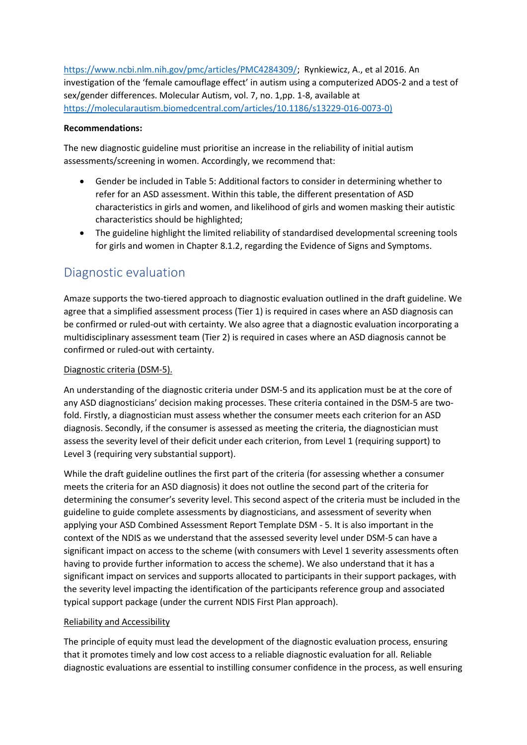[https://www.ncbi.nlm.nih.gov/pmc/articles/PMC4284309/;](https://www.ncbi.nlm.nih.gov/pmc/articles/PMC4284309/) Rynkiewicz, A., et al 2016. An investigation of the 'female camouflage effect' in autism using a computerized ADOS-2 and a test of sex/gender differences. Molecular Autism, vol. 7, no. 1,pp. 1-8, available at [https://molecularautism.biomedcentral.com/articles/10.1186/s13229-016-0073-0\)](https://molecularautism.biomedcentral.com/articles/10.1186/s13229-016-0073-0)

#### **Recommendations:**

The new diagnostic guideline must prioritise an increase in the reliability of initial autism assessments/screening in women. Accordingly, we recommend that:

- Gender be included in Table 5: Additional factors to consider in determining whether to refer for an ASD assessment. Within this table, the different presentation of ASD characteristics in girls and women, and likelihood of girls and women masking their autistic characteristics should be highlighted;
- The guideline highlight the limited reliability of standardised developmental screening tools for girls and women in Chapter 8.1.2, regarding the Evidence of Signs and Symptoms.

## Diagnostic evaluation

Amaze supports the two-tiered approach to diagnostic evaluation outlined in the draft guideline. We agree that a simplified assessment process (Tier 1) is required in cases where an ASD diagnosis can be confirmed or ruled-out with certainty. We also agree that a diagnostic evaluation incorporating a multidisciplinary assessment team (Tier 2) is required in cases where an ASD diagnosis cannot be confirmed or ruled-out with certainty.

### Diagnostic criteria (DSM-5).

An understanding of the diagnostic criteria under DSM-5 and its application must be at the core of any ASD diagnosticians' decision making processes. These criteria contained in the DSM-5 are twofold. Firstly, a diagnostician must assess whether the consumer meets each criterion for an ASD diagnosis. Secondly, if the consumer is assessed as meeting the criteria, the diagnostician must assess the severity level of their deficit under each criterion, from Level 1 (requiring support) to Level 3 (requiring very substantial support).

While the draft guideline outlines the first part of the criteria (for assessing whether a consumer meets the criteria for an ASD diagnosis) it does not outline the second part of the criteria for determining the consumer's severity level. This second aspect of the criteria must be included in the guideline to guide complete assessments by diagnosticians, and assessment of severity when applying your ASD Combined Assessment Report Template DSM - 5. It is also important in the context of the NDIS as we understand that the assessed severity level under DSM-5 can have a significant impact on access to the scheme (with consumers with Level 1 severity assessments often having to provide further information to access the scheme). We also understand that it has a significant impact on services and supports allocated to participants in their support packages, with the severity level impacting the identification of the participants reference group and associated typical support package (under the current NDIS First Plan approach).

#### Reliability and Accessibility

The principle of equity must lead the development of the diagnostic evaluation process, ensuring that it promotes timely and low cost access to a reliable diagnostic evaluation for all. Reliable diagnostic evaluations are essential to instilling consumer confidence in the process, as well ensuring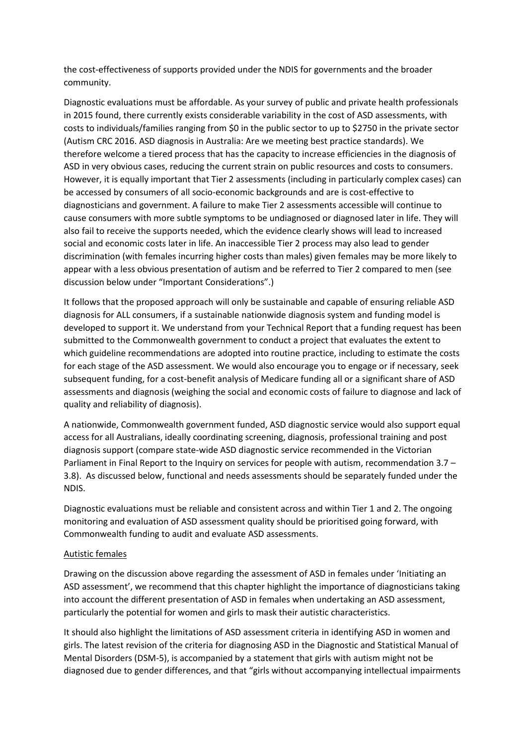the cost-effectiveness of supports provided under the NDIS for governments and the broader community.

Diagnostic evaluations must be affordable. As your survey of public and private health professionals in 2015 found, there currently exists considerable variability in the cost of ASD assessments, with costs to individuals/families ranging from \$0 in the public sector to up to \$2750 in the private sector (Autism CRC 2016. ASD diagnosis in Australia: Are we meeting best practice standards). We therefore welcome a tiered process that has the capacity to increase efficiencies in the diagnosis of ASD in very obvious cases, reducing the current strain on public resources and costs to consumers. However, it is equally important that Tier 2 assessments (including in particularly complex cases) can be accessed by consumers of all socio-economic backgrounds and are is cost-effective to diagnosticians and government. A failure to make Tier 2 assessments accessible will continue to cause consumers with more subtle symptoms to be undiagnosed or diagnosed later in life. They will also fail to receive the supports needed, which the evidence clearly shows will lead to increased social and economic costs later in life. An inaccessible Tier 2 process may also lead to gender discrimination (with females incurring higher costs than males) given females may be more likely to appear with a less obvious presentation of autism and be referred to Tier 2 compared to men (see discussion below under "Important Considerations".)

It follows that the proposed approach will only be sustainable and capable of ensuring reliable ASD diagnosis for ALL consumers, if a sustainable nationwide diagnosis system and funding model is developed to support it. We understand from your Technical Report that a funding request has been submitted to the Commonwealth government to conduct a project that evaluates the extent to which guideline recommendations are adopted into routine practice, including to estimate the costs for each stage of the ASD assessment. We would also encourage you to engage or if necessary, seek subsequent funding, for a cost-benefit analysis of Medicare funding all or a significant share of ASD assessments and diagnosis (weighing the social and economic costs of failure to diagnose and lack of quality and reliability of diagnosis).

A nationwide, Commonwealth government funded, ASD diagnostic service would also support equal access for all Australians, ideally coordinating screening, diagnosis, professional training and post diagnosis support (compare state-wide ASD diagnostic service recommended in the Victorian Parliament in Final Report to the Inquiry on services for people with autism, recommendation 3.7 – 3.8). As discussed below, functional and needs assessments should be separately funded under the NDIS.

Diagnostic evaluations must be reliable and consistent across and within Tier 1 and 2. The ongoing monitoring and evaluation of ASD assessment quality should be prioritised going forward, with Commonwealth funding to audit and evaluate ASD assessments.

#### Autistic females

Drawing on the discussion above regarding the assessment of ASD in females under 'Initiating an ASD assessment', we recommend that this chapter highlight the importance of diagnosticians taking into account the different presentation of ASD in females when undertaking an ASD assessment, particularly the potential for women and girls to mask their autistic characteristics.

It should also highlight the limitations of ASD assessment criteria in identifying ASD in women and girls. The latest revision of the criteria for diagnosing ASD in the Diagnostic and Statistical Manual of Mental Disorders (DSM-5), is accompanied by a statement that girls with autism might not be diagnosed due to gender differences, and that "girls without accompanying intellectual impairments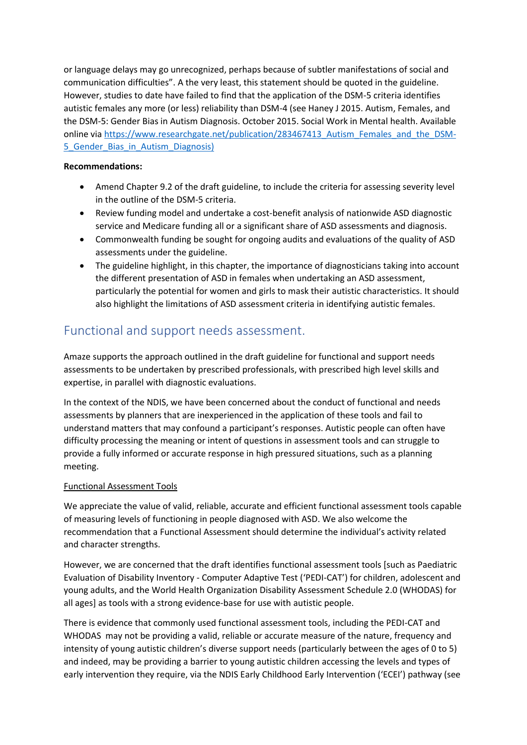or language delays may go unrecognized, perhaps because of subtler manifestations of social and communication difficulties". A the very least, this statement should be quoted in the guideline. However, studies to date have failed to find that the application of the DSM-5 criteria identifies autistic females any more (or less) reliability than DSM-4 (see Haney J 2015. Autism, Females, and the DSM-5: Gender Bias in Autism Diagnosis. October 2015. Social Work in Mental health. Available online vi[a https://www.researchgate.net/publication/283467413\\_Autism\\_Females\\_and\\_the\\_DSM-](https://www.researchgate.net/publication/283467413_Autism_Females_and_the_DSM-5_Gender_Bias_in_Autism_Diagnosis)5 Gender Bias in Autism Diagnosis)

### **Recommendations:**

- Amend Chapter 9.2 of the draft guideline, to include the criteria for assessing severity level in the outline of the DSM-5 criteria.
- Review funding model and undertake a cost-benefit analysis of nationwide ASD diagnostic service and Medicare funding all or a significant share of ASD assessments and diagnosis.
- Commonwealth funding be sought for ongoing audits and evaluations of the quality of ASD assessments under the guideline.
- The guideline highlight, in this chapter, the importance of diagnosticians taking into account the different presentation of ASD in females when undertaking an ASD assessment, particularly the potential for women and girls to mask their autistic characteristics. It should also highlight the limitations of ASD assessment criteria in identifying autistic females.

### Functional and support needs assessment.

Amaze supports the approach outlined in the draft guideline for functional and support needs assessments to be undertaken by prescribed professionals, with prescribed high level skills and expertise, in parallel with diagnostic evaluations.

In the context of the NDIS, we have been concerned about the conduct of functional and needs assessments by planners that are inexperienced in the application of these tools and fail to understand matters that may confound a participant's responses. Autistic people can often have difficulty processing the meaning or intent of questions in assessment tools and can struggle to provide a fully informed or accurate response in high pressured situations, such as a planning meeting.

### Functional Assessment Tools

We appreciate the value of valid, reliable, accurate and efficient functional assessment tools capable of measuring levels of functioning in people diagnosed with ASD. We also welcome the recommendation that a Functional Assessment should determine the individual's activity related and character strengths.

However, we are concerned that the draft identifies functional assessment tools [such as Paediatric Evaluation of Disability Inventory - Computer Adaptive Test ('PEDI-CAT') for children, adolescent and young adults, and the World Health Organization Disability Assessment Schedule 2.0 (WHODAS) for all ages] as tools with a strong evidence-base for use with autistic people.

There is evidence that commonly used functional assessment tools, including the PEDI-CAT and WHODAS may not be providing a valid, reliable or accurate measure of the nature, frequency and intensity of young autistic children's diverse support needs (particularly between the ages of 0 to 5) and indeed, may be providing a barrier to young autistic children accessing the levels and types of early intervention they require, via the NDIS Early Childhood Early Intervention ('ECEI') pathway (see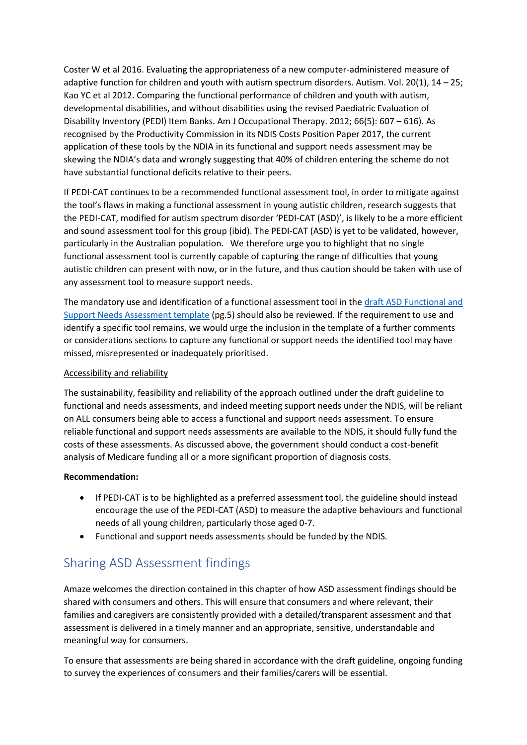Coster W et al 2016. Evaluating the appropriateness of a new computer-administered measure of adaptive function for children and youth with autism spectrum disorders. Autism. Vol. 20(1), 14 – 25; Kao YC et al 2012. Comparing the functional performance of children and youth with autism, developmental disabilities, and without disabilities using the revised Paediatric Evaluation of Disability Inventory (PEDI) Item Banks. Am J Occupational Therapy. 2012; 66(5): 607 – 616). As recognised by the Productivity Commission in its NDIS Costs Position Paper 2017, the current application of these tools by the NDIA in its functional and support needs assessment may be skewing the NDIA's data and wrongly suggesting that 40% of children entering the scheme do not have substantial functional deficits relative to their peers.

If PEDI-CAT continues to be a recommended functional assessment tool, in order to mitigate against the tool's flaws in making a functional assessment in young autistic children, research suggests that the PEDI-CAT, modified for autism spectrum disorder 'PEDI-CAT (ASD)', is likely to be a more efficient and sound assessment tool for this group (ibid). The PEDI-CAT (ASD) is yet to be validated, however, particularly in the Australian population. We therefore urge you to highlight that no single functional assessment tool is currently capable of capturing the range of difficulties that young autistic children can present with now, or in the future, and thus caution should be taken with use of any assessment tool to measure support needs.

The mandatory use and identification of a functional assessment tool in th[e draft ASD Functional and](https://www.dropbox.com/s/jvqvu7lxib6xe36/ASD%20Functional%20and%20Support%20Needs%20Assessment%20Report%20Template.docx?dl=0)  [Support Needs Assessment template](https://www.dropbox.com/s/jvqvu7lxib6xe36/ASD%20Functional%20and%20Support%20Needs%20Assessment%20Report%20Template.docx?dl=0) (pg.5) should also be reviewed. If the requirement to use and identify a specific tool remains, we would urge the inclusion in the template of a further comments or considerations sections to capture any functional or support needs the identified tool may have missed, misrepresented or inadequately prioritised.

### Accessibility and reliability

The sustainability, feasibility and reliability of the approach outlined under the draft guideline to functional and needs assessments, and indeed meeting support needs under the NDIS, will be reliant on ALL consumers being able to access a functional and support needs assessment. To ensure reliable functional and support needs assessments are available to the NDIS, it should fully fund the costs of these assessments. As discussed above, the government should conduct a cost-benefit analysis of Medicare funding all or a more significant proportion of diagnosis costs.

#### **Recommendation:**

- If PEDI-CAT is to be highlighted as a preferred assessment tool, the guideline should instead encourage the use of the PEDI-CAT (ASD) to measure the adaptive behaviours and functional needs of all young children, particularly those aged 0-7.
- Functional and support needs assessments should be funded by the NDIS.

# Sharing ASD Assessment findings

Amaze welcomes the direction contained in this chapter of how ASD assessment findings should be shared with consumers and others. This will ensure that consumers and where relevant, their families and caregivers are consistently provided with a detailed/transparent assessment and that assessment is delivered in a timely manner and an appropriate, sensitive, understandable and meaningful way for consumers.

To ensure that assessments are being shared in accordance with the draft guideline, ongoing funding to survey the experiences of consumers and their families/carers will be essential.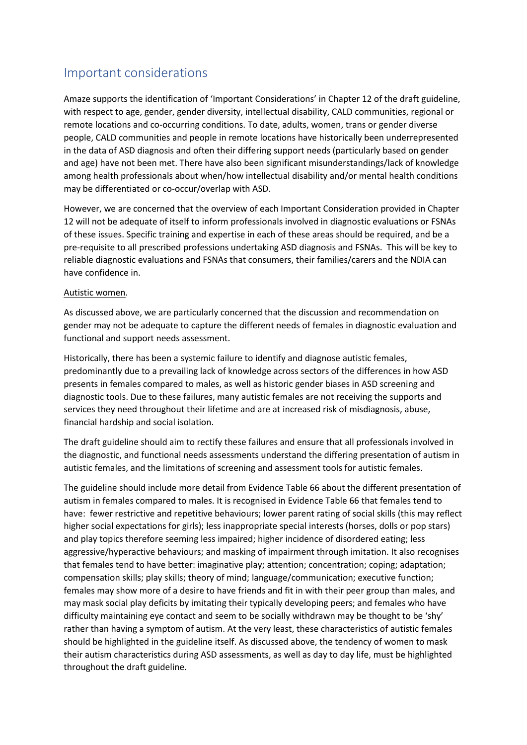# Important considerations

Amaze supports the identification of 'Important Considerations' in Chapter 12 of the draft guideline, with respect to age, gender, gender diversity, intellectual disability, CALD communities, regional or remote locations and co-occurring conditions. To date, adults, women, trans or gender diverse people, CALD communities and people in remote locations have historically been underrepresented in the data of ASD diagnosis and often their differing support needs (particularly based on gender and age) have not been met. There have also been significant misunderstandings/lack of knowledge among health professionals about when/how intellectual disability and/or mental health conditions may be differentiated or co-occur/overlap with ASD.

However, we are concerned that the overview of each Important Consideration provided in Chapter 12 will not be adequate of itself to inform professionals involved in diagnostic evaluations or FSNAs of these issues. Specific training and expertise in each of these areas should be required, and be a pre-requisite to all prescribed professions undertaking ASD diagnosis and FSNAs. This will be key to reliable diagnostic evaluations and FSNAs that consumers, their families/carers and the NDIA can have confidence in.

#### Autistic women.

As discussed above, we are particularly concerned that the discussion and recommendation on gender may not be adequate to capture the different needs of females in diagnostic evaluation and functional and support needs assessment.

Historically, there has been a systemic failure to identify and diagnose autistic females, predominantly due to a prevailing lack of knowledge across sectors of the differences in how ASD presents in females compared to males, as well as historic gender biases in ASD screening and diagnostic tools. Due to these failures, many autistic females are not receiving the supports and services they need throughout their lifetime and are at increased risk of misdiagnosis, abuse, financial hardship and social isolation.

The draft guideline should aim to rectify these failures and ensure that all professionals involved in the diagnostic, and functional needs assessments understand the differing presentation of autism in autistic females, and the limitations of screening and assessment tools for autistic females.

The guideline should include more detail from Evidence Table 66 about the different presentation of autism in females compared to males. It is recognised in Evidence Table 66 that females tend to have: fewer restrictive and repetitive behaviours; lower parent rating of social skills (this may reflect higher social expectations for girls); less inappropriate special interests (horses, dolls or pop stars) and play topics therefore seeming less impaired; higher incidence of disordered eating; less aggressive/hyperactive behaviours; and masking of impairment through imitation. It also recognises that females tend to have better: imaginative play; attention; concentration; coping; adaptation; compensation skills; play skills; theory of mind; language/communication; executive function; females may show more of a desire to have friends and fit in with their peer group than males, and may mask social play deficits by imitating their typically developing peers; and females who have difficulty maintaining eye contact and seem to be socially withdrawn may be thought to be 'shy' rather than having a symptom of autism. At the very least, these characteristics of autistic females should be highlighted in the guideline itself. As discussed above, the tendency of women to mask their autism characteristics during ASD assessments, as well as day to day life, must be highlighted throughout the draft guideline.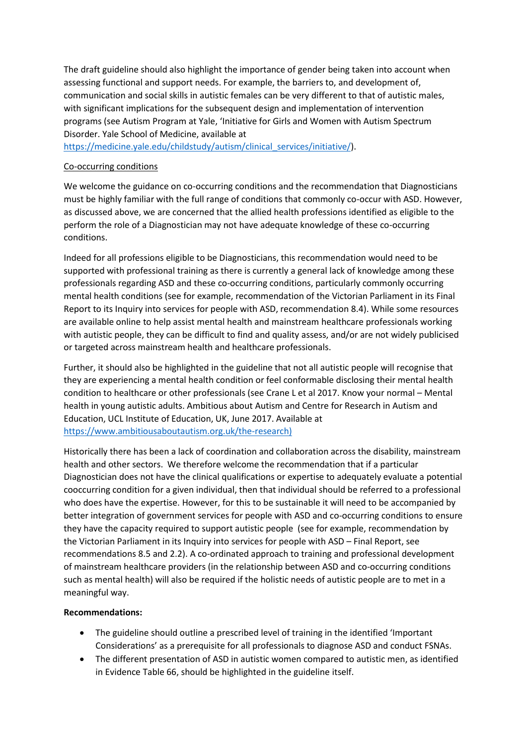The draft guideline should also highlight the importance of gender being taken into account when assessing functional and support needs. For example, the barriers to, and development of, communication and social skills in autistic females can be very different to that of autistic males, with significant implications for the subsequent design and implementation of intervention programs (see Autism Program at Yale, 'Initiative for Girls and Women with Autism Spectrum Disorder. Yale School of Medicine, available at

[https://medicine.yale.edu/childstudy/autism/clinical\\_services/initiative/\)](https://medicine.yale.edu/childstudy/autism/clinical_services/initiative/).

#### Co-occurring conditions

We welcome the guidance on co-occurring conditions and the recommendation that Diagnosticians must be highly familiar with the full range of conditions that commonly co-occur with ASD. However, as discussed above, we are concerned that the allied health professions identified as eligible to the perform the role of a Diagnostician may not have adequate knowledge of these co-occurring conditions.

Indeed for all professions eligible to be Diagnosticians, this recommendation would need to be supported with professional training as there is currently a general lack of knowledge among these professionals regarding ASD and these co-occurring conditions, particularly commonly occurring mental health conditions (see for example, recommendation of the Victorian Parliament in its Final Report to its Inquiry into services for people with ASD, recommendation 8.4). While some resources are available online to help assist mental health and mainstream healthcare professionals working with autistic people, they can be difficult to find and quality assess, and/or are not widely publicised or targeted across mainstream health and healthcare professionals.

Further, it should also be highlighted in the guideline that not all autistic people will recognise that they are experiencing a mental health condition or feel conformable disclosing their mental health condition to healthcare or other professionals (see Crane L et al 2017. Know your normal – Mental health in young autistic adults. Ambitious about Autism and Centre for Research in Autism and Education, UCL Institute of Education, UK, June 2017. Available at [https://www.ambitiousaboutautism.org.uk/the-research\)](https://www.ambitiousaboutautism.org.uk/the-research)

Historically there has been a lack of coordination and collaboration across the disability, mainstream health and other sectors. We therefore welcome the recommendation that if a particular Diagnostician does not have the clinical qualifications or expertise to adequately evaluate a potential cooccurring condition for a given individual, then that individual should be referred to a professional who does have the expertise. However, for this to be sustainable it will need to be accompanied by better integration of government services for people with ASD and co-occurring conditions to ensure they have the capacity required to support autistic people (see for example, recommendation by the Victorian Parliament in its Inquiry into services for people with ASD – Final Report, see recommendations 8.5 and 2.2). A co-ordinated approach to training and professional development of mainstream healthcare providers (in the relationship between ASD and co-occurring conditions such as mental health) will also be required if the holistic needs of autistic people are to met in a meaningful way.

#### **Recommendations:**

- The guideline should outline a prescribed level of training in the identified 'Important Considerations' as a prerequisite for all professionals to diagnose ASD and conduct FSNAs.
- The different presentation of ASD in autistic women compared to autistic men, as identified in Evidence Table 66, should be highlighted in the guideline itself.